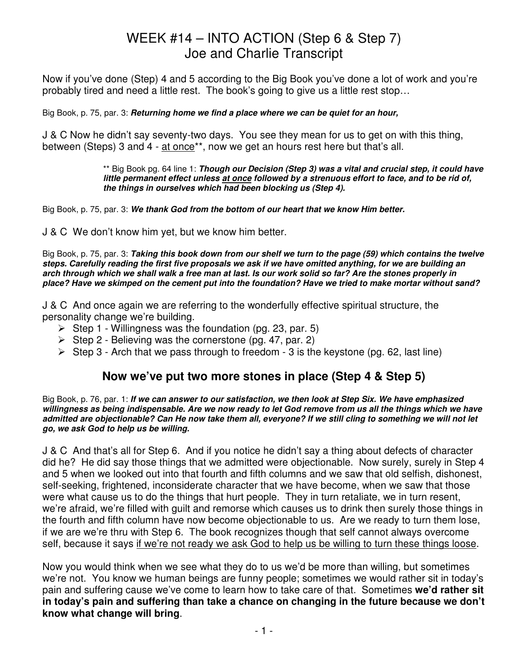Now if you've done (Step) 4 and 5 according to the Big Book you've done a lot of work and you're probably tired and need a little rest. The book's going to give us a little rest stop…

Big Book, p. 75, par. 3: **Returning home we find a place where we can be quiet for an hour,** 

J & C Now he didn't say seventy-two days. You see they mean for us to get on with this thing, between (Steps) 3 and 4 - at once\*\*, now we get an hours rest here but that's all.

> \*\* Big Book pg. 64 line 1: **Though our Decision (Step 3) was a vital and crucial step, it could have little permanent effect unless at once followed by a strenuous effort to face, and to be rid of, the things in ourselves which had been blocking us (Step 4).**

Big Book, p. 75, par. 3: **We thank God from the bottom of our heart that we know Him better.**

J & C We don't know him yet, but we know him better.

Big Book, p. 75, par. 3: **Taking this book down from our shelf we turn to the page (59) which contains the twelve steps. Carefully reading the first five proposals we ask if we have omitted anything, for we are building an arch through which we shall walk a free man at last. Is our work solid so far? Are the stones properly in place? Have we skimped on the cement put into the foundation? Have we tried to make mortar without sand?**

J & C And once again we are referring to the wonderfully effective spiritual structure, the personality change we're building.

- Step 1 Willingness was the foundation (pg. 23, par. 5)
- $\triangleright$  Step 2 Believing was the cornerstone (pg. 47, par. 2)
- $\triangleright$  Step 3 Arch that we pass through to freedom 3 is the keystone (pg. 62, last line)

### **Now we've put two more stones in place (Step 4 & Step 5)**

Big Book, p. 76, par. 1: **If we can answer to our satisfaction, we then look at Step Six. We have emphasized willingness as being indispensable. Are we now ready to let God remove from us all the things which we have admitted are objectionable? Can He now take them all, everyone? If we still cling to something we will not let go, we ask God to help us be willing.**

J & C And that's all for Step 6. And if you notice he didn't say a thing about defects of character did he? He did say those things that we admitted were objectionable. Now surely, surely in Step 4 and 5 when we looked out into that fourth and fifth columns and we saw that old selfish, dishonest, self-seeking, frightened, inconsiderate character that we have become, when we saw that those were what cause us to do the things that hurt people. They in turn retaliate, we in turn resent, we're afraid, we're filled with guilt and remorse which causes us to drink then surely those things in the fourth and fifth column have now become objectionable to us. Are we ready to turn them lose, if we are we're thru with Step 6. The book recognizes though that self cannot always overcome self, because it says if we're not ready we ask God to help us be willing to turn these things loose.

Now you would think when we see what they do to us we'd be more than willing, but sometimes we're not. You know we human beings are funny people; sometimes we would rather sit in today's pain and suffering cause we've come to learn how to take care of that. Sometimes **we'd rather sit in today's pain and suffering than take a chance on changing in the future because we don't know what change will bring**.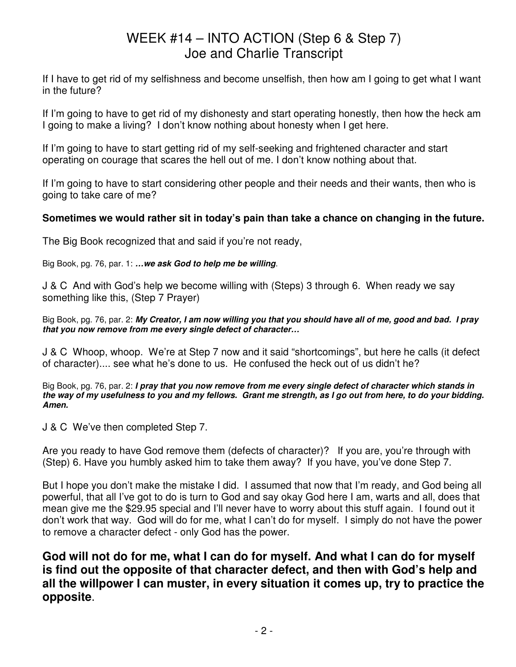If I have to get rid of my selfishness and become unselfish, then how am I going to get what I want in the future?

If I'm going to have to get rid of my dishonesty and start operating honestly, then how the heck am I going to make a living? I don't know nothing about honesty when I get here.

If I'm going to have to start getting rid of my self-seeking and frightened character and start operating on courage that scares the hell out of me. I don't know nothing about that.

If I'm going to have to start considering other people and their needs and their wants, then who is going to take care of me?

#### **Sometimes we would rather sit in today's pain than take a chance on changing in the future.**

The Big Book recognized that and said if you're not ready,

Big Book, pg. 76, par. 1: **…we ask God to help me be willing**.

J & C And with God's help we become willing with (Steps) 3 through 6. When ready we say something like this, (Step 7 Prayer)

Big Book, pg. 76, par. 2: **My Creator, I am now willing you that you should have all of me, good and bad. I pray that you now remove from me every single defect of character…** 

J & C Whoop, whoop. We're at Step 7 now and it said "shortcomings", but here he calls (it defect of character).... see what he's done to us. He confused the heck out of us didn't he?

Big Book, pg. 76, par. 2: **I pray that you now remove from me every single defect of character which stands in the way of my usefulness to you and my fellows. Grant me strength, as I go out from here, to do your bidding. Amen.**

J & C We've then completed Step 7.

Are you ready to have God remove them (defects of character)? If you are, you're through with (Step) 6. Have you humbly asked him to take them away? If you have, you've done Step 7.

But I hope you don't make the mistake I did. I assumed that now that I'm ready, and God being all powerful, that all I've got to do is turn to God and say okay God here I am, warts and all, does that mean give me the \$29.95 special and I'll never have to worry about this stuff again. I found out it don't work that way. God will do for me, what I can't do for myself. I simply do not have the power to remove a character defect - only God has the power.

**God will not do for me, what I can do for myself. And what I can do for myself is find out the opposite of that character defect, and then with God's help and all the willpower I can muster, in every situation it comes up, try to practice the opposite**.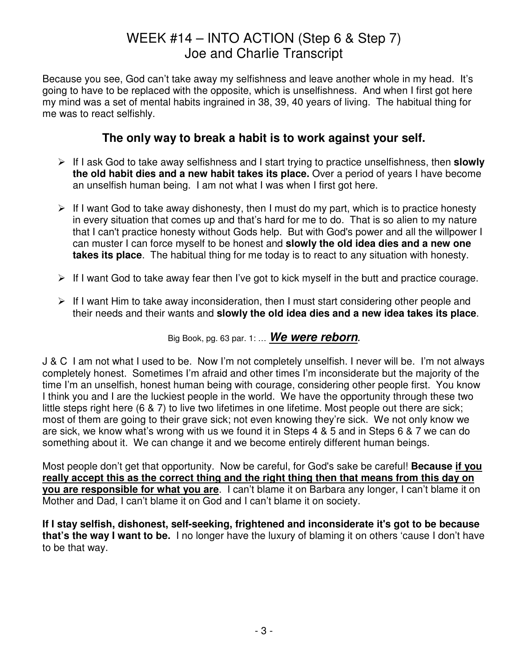Because you see, God can't take away my selfishness and leave another whole in my head. It's going to have to be replaced with the opposite, which is unselfishness. And when I first got here my mind was a set of mental habits ingrained in 38, 39, 40 years of living. The habitual thing for me was to react selfishly.

### **The only way to break a habit is to work against your self.**

- If I ask God to take away selfishness and I start trying to practice unselfishness, then **slowly the old habit dies and a new habit takes its place.** Over a period of years I have become an unselfish human being. I am not what I was when I first got here.
- $\triangleright$  If I want God to take away dishonesty, then I must do my part, which is to practice honesty in every situation that comes up and that's hard for me to do. That is so alien to my nature that I can't practice honesty without Gods help. But with God's power and all the willpower I can muster I can force myself to be honest and **slowly the old idea dies and a new one takes its place**. The habitual thing for me today is to react to any situation with honesty.
- $\triangleright$  If I want God to take away fear then I've got to kick myself in the butt and practice courage.
- $\triangleright$  If I want Him to take away inconsideration, then I must start considering other people and their needs and their wants and **slowly the old idea dies and a new idea takes its place**.

Big Book, pg. 63 par. 1: … **We were reborn.**

J & C I am not what I used to be. Now I'm not completely unselfish. I never will be. I'm not always completely honest. Sometimes I'm afraid and other times I'm inconsiderate but the majority of the time I'm an unselfish, honest human being with courage, considering other people first. You know I think you and I are the luckiest people in the world. We have the opportunity through these two little steps right here (6 & 7) to live two lifetimes in one lifetime. Most people out there are sick; most of them are going to their grave sick; not even knowing they're sick. We not only know we are sick, we know what's wrong with us we found it in Steps 4 & 5 and in Steps 6 & 7 we can do something about it. We can change it and we become entirely different human beings.

Most people don't get that opportunity. Now be careful, for God's sake be careful! **Because if you really accept this as the correct thing and the right thing then that means from this day on you are responsible for what you are**. I can't blame it on Barbara any longer, I can't blame it on Mother and Dad, I can't blame it on God and I can't blame it on society.

**If I stay selfish, dishonest, self-seeking, frightened and inconsiderate it's got to be because that's the way I want to be.** I no longer have the luxury of blaming it on others 'cause I don't have to be that way.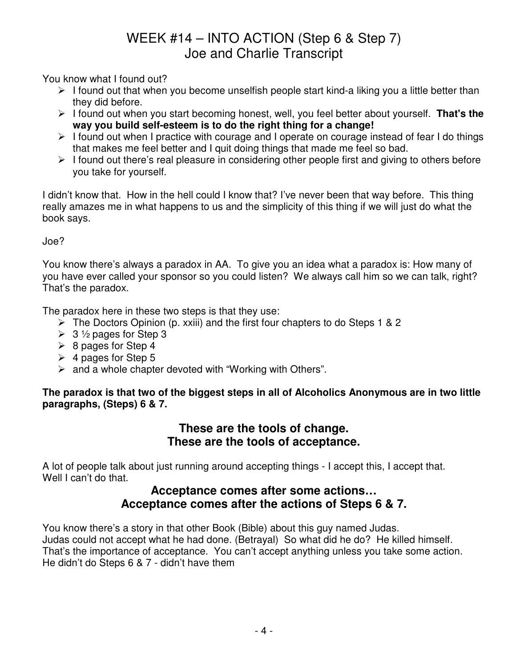You know what I found out?

- $\triangleright$  I found out that when you become unselfish people start kind-a liking you a little better than they did before.
- I found out when you start becoming honest, well, you feel better about yourself. **That's the way you build self-esteem is to do the right thing for a change!**
- $\triangleright$  I found out when I practice with courage and I operate on courage instead of fear I do things that makes me feel better and I quit doing things that made me feel so bad.
- $\triangleright$  I found out there's real pleasure in considering other people first and giving to others before you take for yourself.

I didn't know that. How in the hell could I know that? I've never been that way before. This thing really amazes me in what happens to us and the simplicity of this thing if we will just do what the book says.

Joe?

You know there's always a paradox in AA. To give you an idea what a paradox is: How many of you have ever called your sponsor so you could listen? We always call him so we can talk, right? That's the paradox.

The paradox here in these two steps is that they use:

- The Doctors Opinion (p. xxiii) and the first four chapters to do Steps 1 & 2
- $\geq 3$  1/2 pages for Step 3
- $\triangleright$  8 pages for Step 4
- $\geq 4$  pages for Step 5
- $\triangleright$  and a whole chapter devoted with "Working with Others".

#### **The paradox is that two of the biggest steps in all of Alcoholics Anonymous are in two little paragraphs, (Steps) 6 & 7.**

#### **These are the tools of change. These are the tools of acceptance.**

A lot of people talk about just running around accepting things - I accept this, I accept that. Well I can't do that.

### **Acceptance comes after some actions… Acceptance comes after the actions of Steps 6 & 7.**

You know there's a story in that other Book (Bible) about this guy named Judas. Judas could not accept what he had done. (Betrayal) So what did he do? He killed himself. That's the importance of acceptance. You can't accept anything unless you take some action. He didn't do Steps 6 & 7 - didn't have them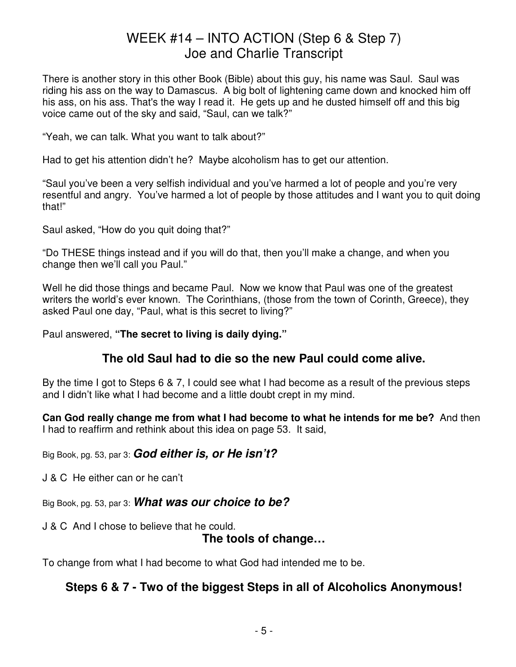There is another story in this other Book (Bible) about this guy, his name was Saul. Saul was riding his ass on the way to Damascus. A big bolt of lightening came down and knocked him off his ass, on his ass. That's the way I read it. He gets up and he dusted himself off and this big voice came out of the sky and said, "Saul, can we talk?"

"Yeah, we can talk. What you want to talk about?"

Had to get his attention didn't he? Maybe alcoholism has to get our attention.

"Saul you've been a very selfish individual and you've harmed a lot of people and you're very resentful and angry. You've harmed a lot of people by those attitudes and I want you to quit doing that!"

Saul asked, "How do you quit doing that?"

"Do THESE things instead and if you will do that, then you'll make a change, and when you change then we'll call you Paul."

Well he did those things and became Paul. Now we know that Paul was one of the greatest writers the world's ever known. The Corinthians, (those from the town of Corinth, Greece), they asked Paul one day, "Paul, what is this secret to living?"

Paul answered, **"The secret to living is daily dying."**

### **The old Saul had to die so the new Paul could come alive.**

By the time I got to Steps 6 & 7, I could see what I had become as a result of the previous steps and I didn't like what I had become and a little doubt crept in my mind.

**Can God really change me from what I had become to what he intends for me be?** And then I had to reaffirm and rethink about this idea on page 53. It said,

Big Book, pg. 53, par 3: **God either is, or He isn't?**

J & C He either can or he can't

Big Book, pg. 53, par 3: **What was our choice to be?**

J & C And I chose to believe that he could.

### **The tools of change…**

To change from what I had become to what God had intended me to be.

### **Steps 6 & 7 - Two of the biggest Steps in all of Alcoholics Anonymous!**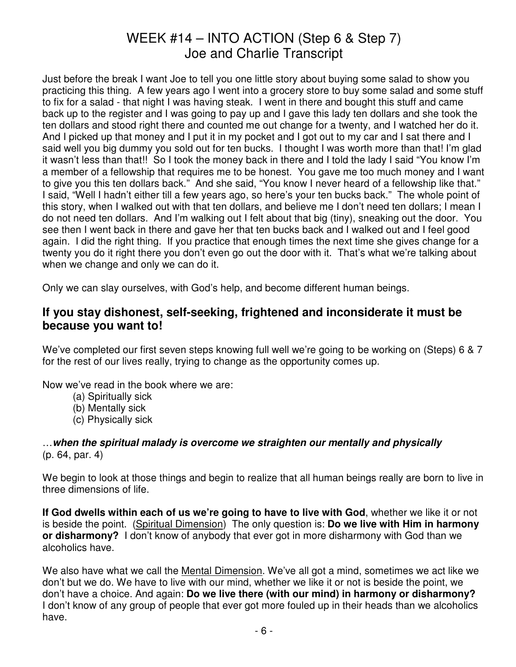Just before the break I want Joe to tell you one little story about buying some salad to show you practicing this thing. A few years ago I went into a grocery store to buy some salad and some stuff to fix for a salad - that night I was having steak. I went in there and bought this stuff and came back up to the register and I was going to pay up and I gave this lady ten dollars and she took the ten dollars and stood right there and counted me out change for a twenty, and I watched her do it. And I picked up that money and I put it in my pocket and I got out to my car and I sat there and I said well you big dummy you sold out for ten bucks. I thought I was worth more than that! I'm glad it wasn't less than that!! So I took the money back in there and I told the lady I said "You know I'm a member of a fellowship that requires me to be honest. You gave me too much money and I want to give you this ten dollars back." And she said, "You know I never heard of a fellowship like that." I said, "Well I hadn't either till a few years ago, so here's your ten bucks back." The whole point of this story, when I walked out with that ten dollars, and believe me I don't need ten dollars; I mean I do not need ten dollars. And I'm walking out I felt about that big (tiny), sneaking out the door. You see then I went back in there and gave her that ten bucks back and I walked out and I feel good again. I did the right thing. If you practice that enough times the next time she gives change for a twenty you do it right there you don't even go out the door with it. That's what we're talking about when we change and only we can do it.

Only we can slay ourselves, with God's help, and become different human beings.

### **If you stay dishonest, self-seeking, frightened and inconsiderate it must be because you want to!**

We've completed our first seven steps knowing full well we're going to be working on (Steps) 6 & 7 for the rest of our lives really, trying to change as the opportunity comes up.

Now we've read in the book where we are:

- (a) Spiritually sick
- (b) Mentally sick
- (c) Physically sick

#### …**when the spiritual malady is overcome we straighten our mentally and physically** (p. 64, par. 4)

We begin to look at those things and begin to realize that all human beings really are born to live in three dimensions of life.

**If God dwells within each of us we're going to have to live with God**, whether we like it or not is beside the point. (Spiritual Dimension) The only question is: **Do we live with Him in harmony or disharmony?** I don't know of anybody that ever got in more disharmony with God than we alcoholics have.

We also have what we call the Mental Dimension. We've all got a mind, sometimes we act like we don't but we do. We have to live with our mind, whether we like it or not is beside the point, we don't have a choice. And again: **Do we live there (with our mind) in harmony or disharmony?** I don't know of any group of people that ever got more fouled up in their heads than we alcoholics have.